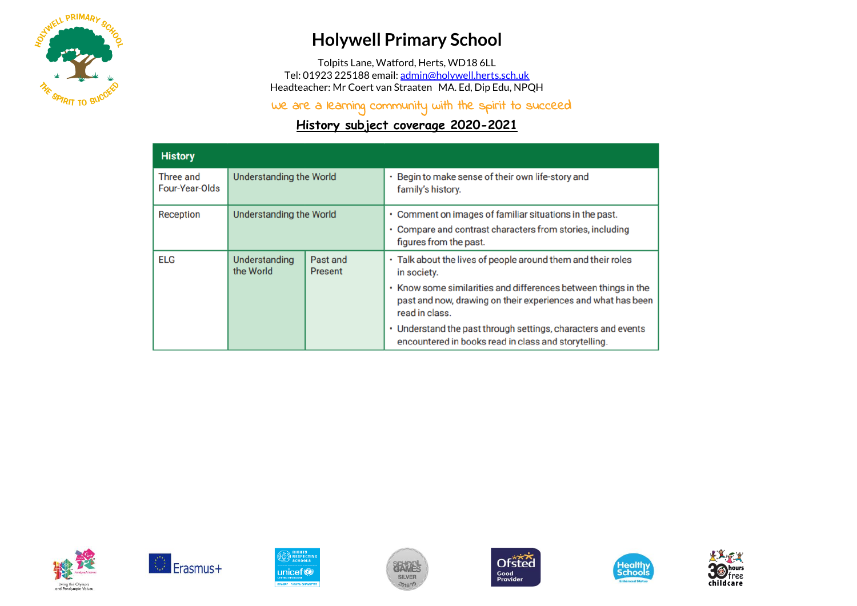

## **Holywell Primary School**

Tolpits Lane, Watford, Herts, WD18 6LL Tel: 01923 225188 email[: admin@holywell.herts.sch.uk](mailto:admin@holywell.herts.sch.uk) Headteacher: Mr Coert van Straaten MA. Ed, Dip Edu, NPQH

We are a learning community with the spirit to succeed

## **History subject coverage 2020-2021**

| <b>History</b>              |                                                          |  |                                                                                                                                                                                                                                                                                                                                                             |  |  |  |  |
|-----------------------------|----------------------------------------------------------|--|-------------------------------------------------------------------------------------------------------------------------------------------------------------------------------------------------------------------------------------------------------------------------------------------------------------------------------------------------------------|--|--|--|--|
| Three and<br>Four-Year-Olds | Understanding the World                                  |  | • Begin to make sense of their own life-story and<br>family's history.                                                                                                                                                                                                                                                                                      |  |  |  |  |
| Reception                   | <b>Understanding the World</b>                           |  | Comment on images of familiar situations in the past.<br>٠<br>Compare and contrast characters from stories, including<br>٠<br>figures from the past.                                                                                                                                                                                                        |  |  |  |  |
| <b>ELG</b>                  | <b>Understanding</b><br>Past and<br>the World<br>Present |  | • Talk about the lives of people around them and their roles<br>in society.<br>• Know some similarities and differences between things in the<br>past and now, drawing on their experiences and what has been<br>read in class.<br>Understand the past through settings, characters and events<br>٠<br>encountered in books read in class and storytelling. |  |  |  |  |













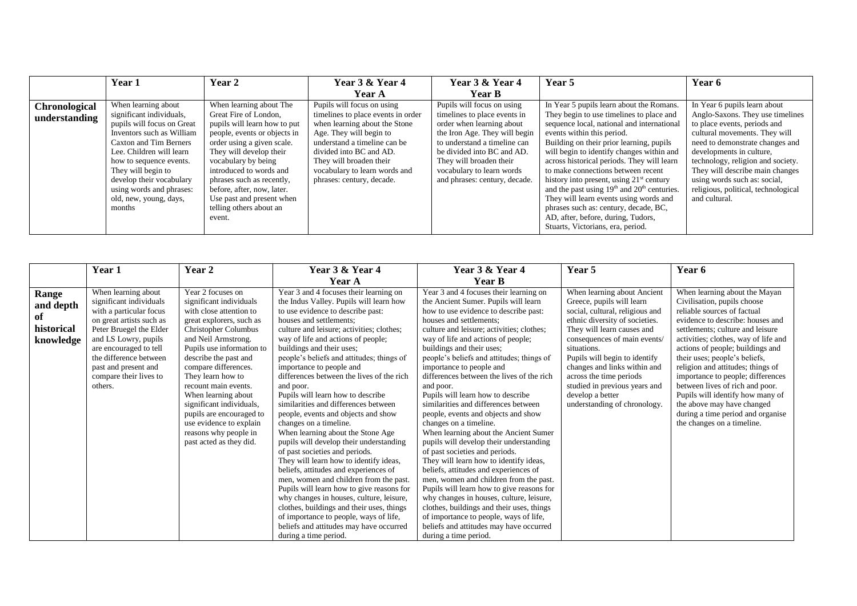|                                | Year 1                                                                                                                                                                                                                                                                                              | Year 2                                                                                                                                                                                                                                                                                                              | Year 3 & Year 4                                                                                                                                                                                                                                                                  | Year 3 & Year 4                                                                                                                                                                                                                                                                 | Year 5                                                                                                                                                                                                                                                                                                                                                                                                                                                                                   | Year 6                                                                                                                                                                                                                                                                                                                                                           |
|--------------------------------|-----------------------------------------------------------------------------------------------------------------------------------------------------------------------------------------------------------------------------------------------------------------------------------------------------|---------------------------------------------------------------------------------------------------------------------------------------------------------------------------------------------------------------------------------------------------------------------------------------------------------------------|----------------------------------------------------------------------------------------------------------------------------------------------------------------------------------------------------------------------------------------------------------------------------------|---------------------------------------------------------------------------------------------------------------------------------------------------------------------------------------------------------------------------------------------------------------------------------|------------------------------------------------------------------------------------------------------------------------------------------------------------------------------------------------------------------------------------------------------------------------------------------------------------------------------------------------------------------------------------------------------------------------------------------------------------------------------------------|------------------------------------------------------------------------------------------------------------------------------------------------------------------------------------------------------------------------------------------------------------------------------------------------------------------------------------------------------------------|
|                                |                                                                                                                                                                                                                                                                                                     |                                                                                                                                                                                                                                                                                                                     | Year A                                                                                                                                                                                                                                                                           | <b>Year B</b>                                                                                                                                                                                                                                                                   |                                                                                                                                                                                                                                                                                                                                                                                                                                                                                          |                                                                                                                                                                                                                                                                                                                                                                  |
| Chronological<br>understanding | When learning about<br>significant individuals,<br>pupils will focus on Great<br>Inventors such as William<br>Caxton and Tim Berners<br>Lee. Children will learn<br>how to sequence events.<br>They will begin to<br>develop their vocabulary<br>using words and phrases:<br>old, new, young, days, | When learning about The<br>Great Fire of London,<br>pupils will learn how to put<br>people, events or objects in<br>order using a given scale.<br>They will develop their<br>vocabulary by being<br>introduced to words and<br>phrases such as recently,<br>before, after, now, later.<br>Use past and present when | Pupils will focus on using<br>timelines to place events in order<br>when learning about the Stone<br>Age. They will begin to<br>understand a timeline can be<br>divided into BC and AD.<br>They will broaden their<br>vocabulary to learn words and<br>phrases: century, decade. | Pupils will focus on using<br>timelines to place events in<br>order when learning about<br>the Iron Age. They will begin<br>to understand a timeline can<br>be divided into BC and AD.<br>They will broaden their<br>vocabulary to learn words<br>and phrases: century, decade. | In Year 5 pupils learn about the Romans.<br>They begin to use timelines to place and<br>sequence local, national and international<br>events within this period.<br>Building on their prior learning, pupils<br>will begin to identify changes within and<br>across historical periods. They will learn<br>to make connections between recent<br>history into present, using $21st$ century<br>and the past using $19th$ and $20th$ centuries.<br>They will learn events using words and | In Year 6 pupils learn about<br>Anglo-Saxons. They use timelines<br>to place events, periods and<br>cultural movements. They will<br>need to demonstrate changes and<br>developments in culture,<br>technology, religion and society.<br>They will describe main changes<br>using words such as: social,<br>religious, political, technological<br>and cultural. |
|                                | months                                                                                                                                                                                                                                                                                              | telling others about an<br>event.                                                                                                                                                                                                                                                                                   |                                                                                                                                                                                                                                                                                  |                                                                                                                                                                                                                                                                                 | phrases such as: century, decade, BC,<br>AD, after, before, during, Tudors,<br>Stuarts, Victorians, era, period.                                                                                                                                                                                                                                                                                                                                                                         |                                                                                                                                                                                                                                                                                                                                                                  |

|                                                     | Year 1                                                                                                                                                                                                                                                                    | Year 2                                                                                                                                                                                                                                                                                                                                                                                                                                             | Year 3 & Year 4                                                                                                                                                                                                                                                                                                                                                                                                                                                                                                                                                                                                                                                                                                                                                                                                                                                                                                                                                                                                                                       | Year 3 & Year 4                                                                                                                                                                                                                                                                                                                                                                                                                                                                                                                                                                                                                                                                                                                                                                                                                                                                                                                                                                                                                                            | Year 5                                                                                                                                                                                                                                                                                                                                                                                      | Year 6                                                                                                                                                                                                                                                                                                                                                                                                                                                                                                                             |
|-----------------------------------------------------|---------------------------------------------------------------------------------------------------------------------------------------------------------------------------------------------------------------------------------------------------------------------------|----------------------------------------------------------------------------------------------------------------------------------------------------------------------------------------------------------------------------------------------------------------------------------------------------------------------------------------------------------------------------------------------------------------------------------------------------|-------------------------------------------------------------------------------------------------------------------------------------------------------------------------------------------------------------------------------------------------------------------------------------------------------------------------------------------------------------------------------------------------------------------------------------------------------------------------------------------------------------------------------------------------------------------------------------------------------------------------------------------------------------------------------------------------------------------------------------------------------------------------------------------------------------------------------------------------------------------------------------------------------------------------------------------------------------------------------------------------------------------------------------------------------|------------------------------------------------------------------------------------------------------------------------------------------------------------------------------------------------------------------------------------------------------------------------------------------------------------------------------------------------------------------------------------------------------------------------------------------------------------------------------------------------------------------------------------------------------------------------------------------------------------------------------------------------------------------------------------------------------------------------------------------------------------------------------------------------------------------------------------------------------------------------------------------------------------------------------------------------------------------------------------------------------------------------------------------------------------|---------------------------------------------------------------------------------------------------------------------------------------------------------------------------------------------------------------------------------------------------------------------------------------------------------------------------------------------------------------------------------------------|------------------------------------------------------------------------------------------------------------------------------------------------------------------------------------------------------------------------------------------------------------------------------------------------------------------------------------------------------------------------------------------------------------------------------------------------------------------------------------------------------------------------------------|
|                                                     |                                                                                                                                                                                                                                                                           |                                                                                                                                                                                                                                                                                                                                                                                                                                                    | <b>Year A</b>                                                                                                                                                                                                                                                                                                                                                                                                                                                                                                                                                                                                                                                                                                                                                                                                                                                                                                                                                                                                                                         | <b>Year B</b>                                                                                                                                                                                                                                                                                                                                                                                                                                                                                                                                                                                                                                                                                                                                                                                                                                                                                                                                                                                                                                              |                                                                                                                                                                                                                                                                                                                                                                                             |                                                                                                                                                                                                                                                                                                                                                                                                                                                                                                                                    |
| Range<br>and depth<br>of<br>historical<br>knowledge | When learning about<br>significant individuals<br>with a particular focus<br>on great artists such as<br>Peter Bruegel the Elder<br>and LS Lowry, pupils<br>are encouraged to tell<br>the difference between<br>past and present and<br>compare their lives to<br>others. | Year 2 focuses on<br>significant individuals<br>with close attention to<br>great explorers, such as<br><b>Christopher Columbus</b><br>and Neil Armstrong.<br>Pupils use information to<br>describe the past and<br>compare differences.<br>They learn how to<br>recount main events.<br>When learning about<br>significant individuals,<br>pupils are encouraged to<br>use evidence to explain<br>reasons why people in<br>past acted as they did. | Year 3 and 4 focuses their learning on<br>the Indus Valley. Pupils will learn how<br>to use evidence to describe past:<br>houses and settlements:<br>culture and leisure; activities; clothes;<br>way of life and actions of people;<br>buildings and their uses;<br>people's beliefs and attitudes; things of<br>importance to people and<br>differences between the lives of the rich<br>and poor.<br>Pupils will learn how to describe<br>similarities and differences between<br>people, events and objects and show<br>changes on a timeline.<br>When learning about the Stone Age<br>pupils will develop their understanding<br>of past societies and periods.<br>They will learn how to identify ideas,<br>beliefs, attitudes and experiences of<br>men, women and children from the past.<br>Pupils will learn how to give reasons for<br>why changes in houses, culture, leisure,<br>clothes, buildings and their uses, things<br>of importance to people, ways of life,<br>beliefs and attitudes may have occurred<br>during a time period. | Year 3 and 4 focuses their learning on<br>the Ancient Sumer. Pupils will learn<br>how to use evidence to describe past:<br>houses and settlements:<br>culture and leisure; activities; clothes;<br>way of life and actions of people;<br>buildings and their uses;<br>people's beliefs and attitudes; things of<br>importance to people and<br>differences between the lives of the rich<br>and poor.<br>Pupils will learn how to describe<br>similarities and differences between<br>people, events and objects and show<br>changes on a timeline.<br>When learning about the Ancient Sumer<br>pupils will develop their understanding<br>of past societies and periods.<br>They will learn how to identify ideas,<br>beliefs, attitudes and experiences of<br>men, women and children from the past.<br>Pupils will learn how to give reasons for<br>why changes in houses, culture, leisure,<br>clothes, buildings and their uses, things<br>of importance to people, ways of life,<br>beliefs and attitudes may have occurred<br>during a time period. | When learning about Ancient<br>Greece, pupils will learn<br>social, cultural, religious and<br>ethnic diversity of societies.<br>They will learn causes and<br>consequences of main events/<br>situations.<br>Pupils will begin to identify<br>changes and links within and<br>across the time periods<br>studied in previous years and<br>develop a better<br>understanding of chronology. | When learning about the Mayan<br>Civilisation, pupils choose<br>reliable sources of factual<br>evidence to describe: houses and<br>settlements; culture and leisure<br>activities; clothes, way of life and<br>actions of people; buildings and<br>their uses; people's beliefs,<br>religion and attitudes; things of<br>importance to people; differences<br>between lives of rich and poor.<br>Pupils will identify how many of<br>the above may have changed<br>during a time period and organise<br>the changes on a timeline. |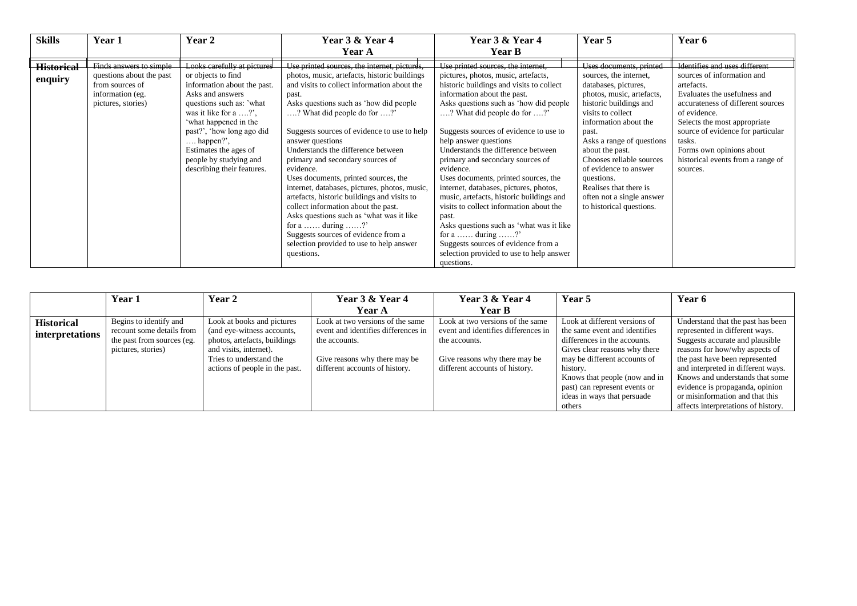|                   | Year 1                     | Year 2                         | Year 3 & Year 4                     | Year 3 & Year 4                     | Year 5                        | Year 6                              |
|-------------------|----------------------------|--------------------------------|-------------------------------------|-------------------------------------|-------------------------------|-------------------------------------|
|                   |                            |                                | Year A                              | Year B                              |                               |                                     |
| <b>Historical</b> | Begins to identify and     | Look at books and pictures     | Look at two versions of the same    | Look at two versions of the same    | Look at different versions of | Understand that the past has been   |
| interpretations   | recount some details from  | (and eye-witness accounts,     | event and identifies differences in | event and identifies differences in | the same event and identifies | represented in different ways.      |
|                   | the past from sources (eg. | photos, artefacts, buildings   | the accounts.                       | the accounts.                       | differences in the accounts.  | Suggests accurate and plausible     |
|                   | pictures, stories)         | and visits, internet).         |                                     |                                     | Gives clear reasons why there | reasons for how/why aspects of      |
|                   |                            | Tries to understand the        | Give reasons why there may be       | Give reasons why there may be       | may be different accounts of  | the past have been represented      |
|                   |                            | actions of people in the past. | different accounts of history.      | different accounts of history.      | history.                      | and interpreted in different ways.  |
|                   |                            |                                |                                     |                                     | Knows that people (now and in | Knows and understands that some     |
|                   |                            |                                |                                     |                                     | past) can represent events or | evidence is propaganda, opinion     |
|                   |                            |                                |                                     |                                     | ideas in ways that persuade   | or misinformation and that this     |
|                   |                            |                                |                                     |                                     | others                        | affects interpretations of history. |